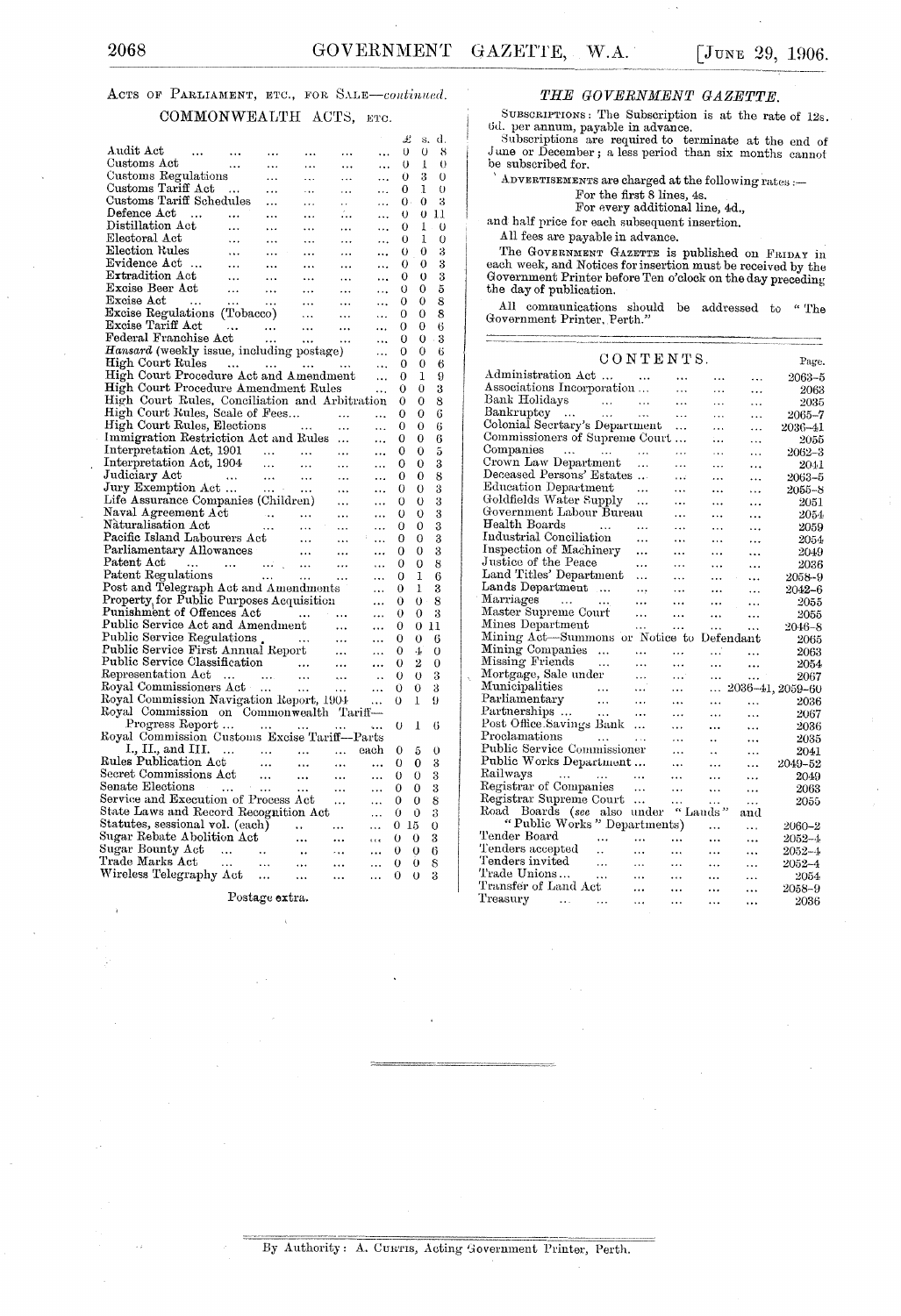### ACTS OF PARLIAMENT, ETC., FOR SALE-continued. COMMONWEALTH ACTS, ETC.

| Audit Act                                                                                                                                                                                                                                                                                                      |                          |                          |                                             |                                             |                            | Ŀ<br>0      | d.<br>s.<br>0<br>8  |
|----------------------------------------------------------------------------------------------------------------------------------------------------------------------------------------------------------------------------------------------------------------------------------------------------------------|--------------------------|--------------------------|---------------------------------------------|---------------------------------------------|----------------------------|-------------|---------------------|
| $\ldots$ .<br>Customs Act                                                                                                                                                                                                                                                                                      | $\cdots$<br>$\cdots$     | $\cdots$                 | $\ddotsc$                                   | $\cdots$<br>$\ddotsc$                       |                            | 0           | 1<br>$\theta$       |
| Customs Regulations                                                                                                                                                                                                                                                                                            |                          | $\cdots$<br>$\ldots$     | $\ddotsc$<br>$\ldots$                       | $\ddotsc$                                   |                            | 0           | 3<br>$\mathbf 0$    |
| Customs Tariff Act                                                                                                                                                                                                                                                                                             |                          | $\cdots$                 |                                             |                                             |                            | 0           | 1<br>$\theta$       |
| Customs Tariff Schedules                                                                                                                                                                                                                                                                                       |                          | $\sim 10^{-11}$          | $\sim 100$                                  | $\ddotsc$<br>$\mathbf{r}$ is $\mathbf{r}$ . | $\ddotsc$                  | $0 \cdot$   | 0<br>3              |
|                                                                                                                                                                                                                                                                                                                |                          | $\cdots$                 | $\mathbf{1}$ and $\mathbf{1}$<br>$\ldots$ . |                                             | 44                         | Ü           | $0\;11$             |
| $\begin{tabular}{ll} \textbf{Defence } \textbf{Act} & \dots & \dots \\ \textbf{Distillation } \textbf{Act} & \dots \end{tabular}$                                                                                                                                                                              | $\ldots$ .               | $\cdots$                 | $\ldots$ .                                  | $\cdots$<br>$\sim 10^{-1}$                  | $\ddotsc$                  | 0           | $1$ .<br>$\theta$   |
|                                                                                                                                                                                                                                                                                                                | $\sim 10^{-10}$          | $\ldots$ .               | $\mathbf{1}$ , $\mathbf{1}$                 | $\cdots$                                    | $\ddotsc$<br>$\cdots$      | 0           | 1<br>0              |
|                                                                                                                                                                                                                                                                                                                | $\sim 1.4\times 10^{-1}$ | $\langle\ldots\rangle$ . | $\sim 10^{-11}$                             | $\ldots$                                    |                            | 0           | 0<br>3              |
|                                                                                                                                                                                                                                                                                                                | $\langle\ldots\rangle$   | $\sim$ $\sim$            | $\cdots$                                    | $\sim 10^{-1}$                              | $\cdots$                   | 0           | 3<br>0              |
| Electoral Act<br>Evidence Act<br>Evidence Act<br>Extradition Act<br>Excise Beer Act<br>Excise Beerlation                                                                                                                                                                                                       |                          |                          |                                             |                                             |                            | 0           | 3<br>0              |
|                                                                                                                                                                                                                                                                                                                |                          |                          |                                             |                                             | $\ddotsc$                  | 0           | 5<br>0              |
|                                                                                                                                                                                                                                                                                                                |                          |                          |                                             |                                             | $\cdots$                   | 0           | 8<br>0              |
|                                                                                                                                                                                                                                                                                                                |                          |                          |                                             |                                             | $\ddotsc$                  | 0           | 8<br>0              |
|                                                                                                                                                                                                                                                                                                                |                          |                          |                                             |                                             | $\ddotsc$                  | 0           | 6<br>0              |
|                                                                                                                                                                                                                                                                                                                |                          |                          |                                             |                                             | $\ddotsc$                  | 0           | 3<br>0              |
| Hansard (weekly issue, including postage)                                                                                                                                                                                                                                                                      |                          |                          |                                             |                                             | $\ddotsc$                  | 0           | 0<br>6              |
| High Court Rules                                                                                                                                                                                                                                                                                               |                          |                          |                                             |                                             | $\ddotsc$                  | 0           | 0<br>6              |
| High Court Procedure Act and Amendment                                                                                                                                                                                                                                                                         |                          |                          |                                             |                                             | $\ddotsc$                  | 0           | 9<br>1              |
| High Court Procedure Amendment Rules                                                                                                                                                                                                                                                                           |                          |                          |                                             |                                             |                            | 0           | 3<br>0              |
| High Court Rules, Conciliation and Arbitration                                                                                                                                                                                                                                                                 |                          |                          |                                             |                                             |                            | 0           | 8<br>0              |
| High Court Kules, Scale of Fees<br>High Court Rules, Elections                                                                                                                                                                                                                                                 |                          |                          |                                             |                                             | $\ldots$                   | 0           | 6<br>0              |
|                                                                                                                                                                                                                                                                                                                |                          |                          |                                             |                                             | $\ddotsc$                  | 0           | 0<br>6              |
| Immigration Restriction Act and Rules                                                                                                                                                                                                                                                                          |                          |                          |                                             |                                             |                            | 0           | 6<br>0              |
|                                                                                                                                                                                                                                                                                                                |                          |                          |                                             |                                             | $\ddotsc$                  | 0           | 0<br>5              |
| Interpretation Act, 1901<br>Interpretation Act, 1904                                                                                                                                                                                                                                                           |                          |                          |                                             |                                             | $\ddotsc$                  | 0           | 3<br>0              |
|                                                                                                                                                                                                                                                                                                                |                          |                          |                                             |                                             | $\ddotsc$                  | 0           | 8<br>0              |
|                                                                                                                                                                                                                                                                                                                |                          |                          |                                             |                                             |                            | 0           | 0<br>3              |
|                                                                                                                                                                                                                                                                                                                |                          |                          |                                             |                                             | $\ddotsc$                  | 0           | 3<br>0              |
|                                                                                                                                                                                                                                                                                                                |                          |                          |                                             |                                             |                            | $\mathbf 0$ | 3<br>0              |
|                                                                                                                                                                                                                                                                                                                |                          |                          |                                             |                                             |                            | 0           | 3<br>0              |
|                                                                                                                                                                                                                                                                                                                |                          |                          |                                             |                                             | $\ddotsc$                  | 0           | 3<br>0              |
|                                                                                                                                                                                                                                                                                                                |                          |                          |                                             |                                             |                            | 0           | 3<br>0              |
|                                                                                                                                                                                                                                                                                                                |                          |                          |                                             |                                             | $\cdots$                   | 0           | 0<br>8              |
|                                                                                                                                                                                                                                                                                                                |                          |                          |                                             |                                             |                            | 0           | 1<br>6              |
|                                                                                                                                                                                                                                                                                                                |                          |                          |                                             |                                             | $\cdots$                   | 0           | ı<br>3              |
| Post and Telegraph Act and Amendments<br>Property for Public Purposes Acquisition<br>8<br>0<br>$\theta$ .<br>$\cdots$<br>Property, for Fubile Furposes Acquisition<br>Public Service Act and Amendment<br>Public Service Act and Amendment<br>Public Service Regulations<br>Public Service First Annual Report |                          |                          |                                             |                                             |                            |             |                     |
|                                                                                                                                                                                                                                                                                                                |                          |                          |                                             |                                             | $\cdots$                   | 0           | 3<br>0              |
|                                                                                                                                                                                                                                                                                                                |                          |                          |                                             |                                             |                            | 0           | 11<br>0             |
|                                                                                                                                                                                                                                                                                                                |                          |                          |                                             |                                             | $\ddotsc$                  | 0           | 0<br>6              |
|                                                                                                                                                                                                                                                                                                                |                          |                          |                                             |                                             | $\cdots$                   | 0           | $\overline{O}$<br>4 |
|                                                                                                                                                                                                                                                                                                                |                          |                          |                                             |                                             | $\cdots$                   | 0           | $\overline{2}$<br>0 |
|                                                                                                                                                                                                                                                                                                                |                          |                          |                                             |                                             | $\sim$                     | O           | 3<br>0              |
|                                                                                                                                                                                                                                                                                                                |                          |                          |                                             |                                             | $\cdots$                   | 0           | 0<br>3              |
|                                                                                                                                                                                                                                                                                                                |                          |                          |                                             |                                             |                            | 0           | 9<br>1              |
|                                                                                                                                                                                                                                                                                                                |                          |                          |                                             |                                             |                            |             |                     |
| Royal Commission on Commonwealth Tariff-<br>Progress Report                                                                                                                                                                                                                                                    |                          |                          |                                             |                                             |                            | U           | 1<br>6              |
| Royal Commission Customs Excise Tariff—Parts                                                                                                                                                                                                                                                                   |                          |                          |                                             |                                             |                            |             |                     |
| I., II., and III.                                                                                                                                                                                                                                                                                              |                          |                          |                                             | $\ldots$                                    | each                       | 0           | 0<br>5              |
|                                                                                                                                                                                                                                                                                                                |                          |                          |                                             |                                             | $\ddotsc$                  | 0           | 0<br>3              |
|                                                                                                                                                                                                                                                                                                                |                          |                          |                                             |                                             | $\ddotsc$                  | 0           | 3<br>0              |
|                                                                                                                                                                                                                                                                                                                |                          |                          |                                             |                                             | $\cdots$                   | 0           | 3<br>0              |
|                                                                                                                                                                                                                                                                                                                |                          |                          |                                             |                                             | $\ddotsc$                  | 0           | 8<br>0              |
| State Laws and Record Recognition Act                                                                                                                                                                                                                                                                          |                          |                          |                                             |                                             | $\ddotsc$                  | 0           | Û<br>3              |
| Statutes, sessional vol. (each) $\cdots$                                                                                                                                                                                                                                                                       |                          |                          |                                             |                                             | $\sim 10^{-11}$            | 0<br>15     | 0                   |
| Sugar Rebate Abolition Act                                                                                                                                                                                                                                                                                     |                          |                          |                                             | $\sim 100$                                  | $\epsilon$ is $\epsilon$ . | 0           | 0<br>3              |
|                                                                                                                                                                                                                                                                                                                |                          |                          |                                             | $\sim 100$                                  | $\cdots$                   | 0           | 0<br>6              |
|                                                                                                                                                                                                                                                                                                                |                          |                          | W.                                          | $\mathbf{r}$ , $\mathbf{r}$ , $\mathbf{r}$  | $\ldots$                   | $\mathbf 0$ | 0<br>8              |
|                                                                                                                                                                                                                                                                                                                |                          |                          |                                             | $\cdots$                                    | $\cdots$                   | 0           | $\overline{0}$<br>3 |

Postage extra.

### THE GOVERNMENT GAZETTE.

SUBSCRIPTIONS: The Subscription is at the rate of 12s. 6d. per annum, payable in advance.

Subscriptions are required to terminate at the end of June or December; a less period than six months cannot be subscribed for.

ADVERTISEMENTS are charged at the following rates :-

For the first 8 lines, 4s.<br>For the first 8 lines, 4s.<br>For every additional line, 4d.,

and half price for each subsequent insertion.

All fees are payable in advance.

The GOVERNMENT GAZETTE is published on FRIDAY in each week, and Notices for insertion must be received by the Government Printer before Ten o'clock on the day preceding the day of publication.

All communications should be addressed to "The Government Printer, Perth.'

#### CONTENTS. Page. Administration Act $\ldots$  $\ddotsc$  $2063 - 5$  $\sim$   $\sim$  $\ddots$  ${\bf\large\textbf{A}}{\bf\large\textbf{ }s}{\bf\large\textbf{ }o}c} {\bf\large\textbf{ }incorporation}\,\ldots$  $\boldsymbol{2063}$  $\ddotsc$  $\ldots$ Bank Holidays  $\sim$   $\sim$  $\sim$  1440  $\ddotsc$  $\ldots$ . . . 2035 Bankruptcy ... ... ...<br>Colonial Secrtary's Department  $\ddotsc$  $\ldots$  $\ddotsc$  $2065 - 7$  $2036 - 41$  $\ddots$  $\ddotsc$  $\ddotsc$ Commissioners of Supreme Court... 2055  $\sim$  .  $\sim$  . Companies ... ... ...<br>Crown Law Department ... Companies  $2062 - 3$  $\ldots$  $\ldots$  $\sim$  .  $\ddotsc$  $\ddotsc$  $\ddotsc$ 2041  $\ddotsc$ Deceased Persons' Estates ...  $\ldots$ ...  $\ddotsc$  $2063 - 5$ Education Department ...  $\ddotsc$  $\ddotsc$  $\ddotsc$  $2055 - 8$ Goldfields Water Supply  $\ddotsc$  $\ddotsc$  $\ddotsc$  $\ddotsc$ 2051 Government Labour Bureau 2054  $\ddotsc$  $\bar{\nu}$  .  $\ddotsc$ Health Boards 2059  $\dddotsc$  $\ldots$  $\ddotsc$  $\ddotsc$ Industrial Conciliation 2054  $\ddotsc$  $\ddotsc$  $\ddotsc$  $\ldots$ Inspection of Machinery  $\boldsymbol{2049}$  $\ddots$ ...  $\ddotsc$ ... Justice of the Peace 2036  $\dddotsc$  $\ddotsc$  $\ddotsc$ . . . Land Titles' Department 2058-9  $\ddotsc$  $\ddotsc$  $\ddotsc$  $\ldots$ Lands Department ...  $2042 - 6$  $\ddots$  $\dddotsc$  $\ddotsc$  $\ddotsc$ Marriages ... ...<br>Master Supreme Court 2055  $\ldots$  $\ddotsc$  $\ldots$  $\ddotsc$  $\ddotsc$  $\ddotsc$ 2055  $\ldots$  $\ddots$  $2046 - 8$ 2065 2063 Missing Friends 2054  $\ddotsc$  $\sim$   $\sim$  $\ddotsc$  $\dddotsc$  $\ddotsc$ Mortgage, Sale under<br>Municipalities<br>Parliamentary 2067  $\rightarrow$   $\rightarrow$  $\ldots$  $\ldots$  $\ldots$  2036-41, 2059-60  $\ddotsc$  $\ddotsc$ 2036  $\ldots$  $\cdots$  $\ddotsc$  $\ddotsc$  $\ldots$ Partnerships...  $\ddotsc$  $\ldots$  $\ddotsc$  $\ddotsc$ 2067 Post Office Savings Bank ...  $\dddotsc$ 2036  $\ddotsc$  $\ddotsc$ Proclamations 2035  $\sim$  $\dddotsc$  $\ddot{\phantom{a}}$  $\ddotsc$ Public Service Commissioner<br>Public Works Department...<br>Public Works Department...  $2041$  $\ldots$  $\ddotsc$  $\ddotsc$  $\ldots$  $2049 - 52$  $\ldots$  $\ddotsc$ Railways  $\boldsymbol{2049}$  $\ddotsc$  $\ddotsc$  $\ldots$ Registrar of Companies  $\,2063\,$  $\sim$  . ...  $\ddotsc$  $\ddotsc$ Registrar Supreme Court ... Registrar Supreme Court ... ... ...<br>Road Boards (see also under "Lauds<br>"Public Works" Departments) ...  $2055\,$ and  $2060 - 2$  $\ddotsc$ Tender Board  $2052 - 4$  $\sim 100$  $\rightarrow$  .  $\rightarrow$  $\ldots$  $\ddotsc$  $\ddotsc$ Tenders accepted  $2052 - 4$  $\Delta\phi$ ...  $\ddotsc$  $\ldots$  $\ldots$ Tenders invited  $2052 - 4$  $\ldots$  $\ldots$  $\ddotsc$  $\ddotsc$  $\ldots$ Trade Unions... 2054  $\cdots$  $\dddotsc$  $\ddotsc$ ...  $\ddotsc$ Transfer of Land Act  $2058 - 9$  $\ddotsc$  $\ddotsc$ ... ... Treasury  $\mathbf{1}$  ,  $\mathbf{1}$  $\ddotsc$  $\dddotsc$  $\ddotsc$  $\ddotsc$  $\ddotsc$ 2036

#### By Authority: A. CURTIS, Acting Government Printer, Perth.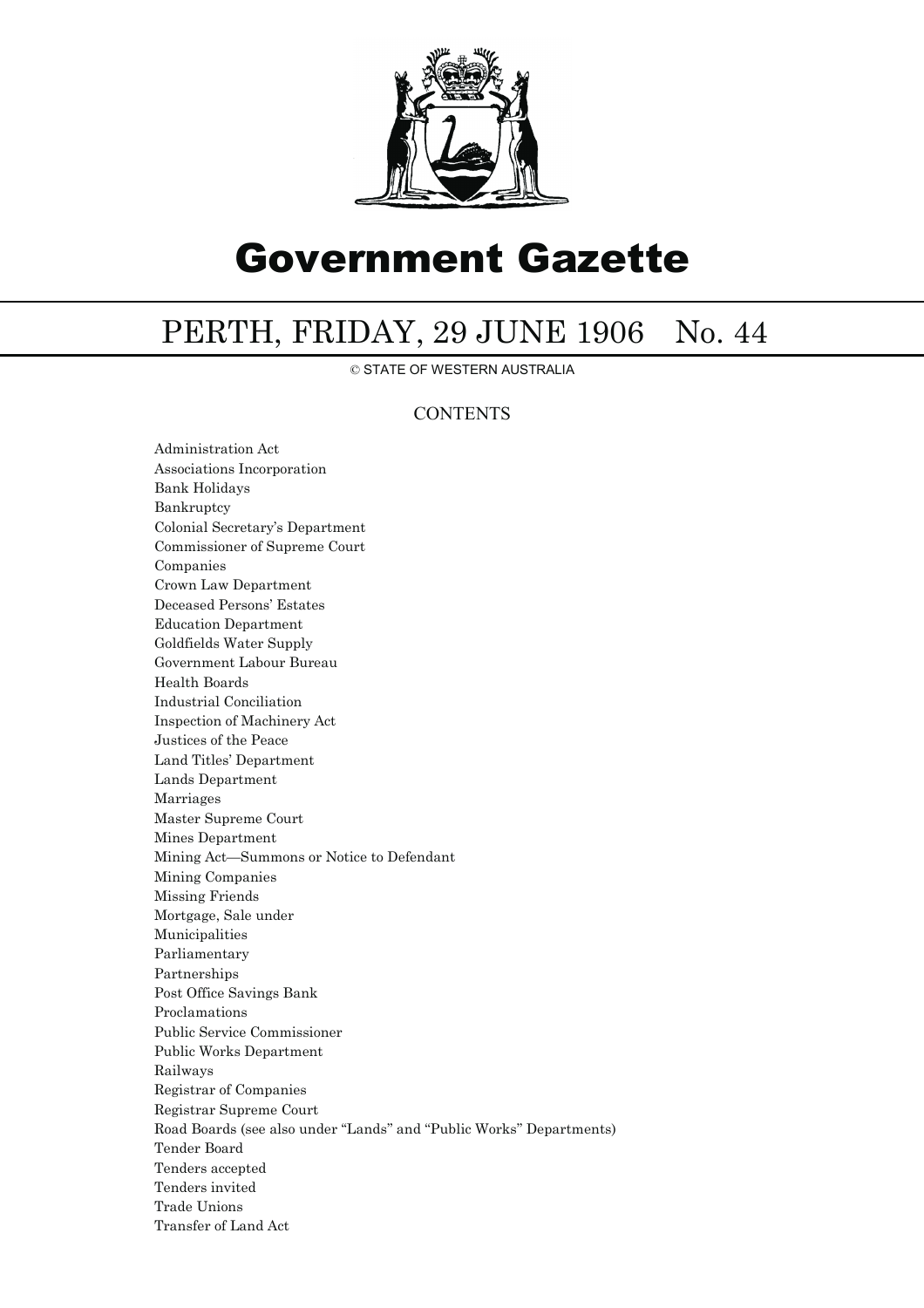

# Government Gazette

# PERTH, FRIDAY, 29 JUNE 1906 No. 44

© STATE OF WESTERN AUSTRALIA

## **CONTENTS**

Administration Act Associations Incorporation Bank Holidays Bankruptcy Colonial Secretary's Department Commissioner of Supreme Court Companies Crown Law Department Deceased Persons' Estates Education Department Goldfields Water Supply Government Labour Bureau Health Boards Industrial Conciliation Inspection of Machinery Act Justices of the Peace Land Titles' Department Lands Department Marriages Master Supreme Court Mines Department Mining Act—Summons or Notice to Defendant Mining Companies Missing Friends Mortgage, Sale under Municipalities Parliamentary Partnerships Post Office Savings Bank Proclamations Public Service Commissioner Public Works Department Railways Registrar of Companies Registrar Supreme Court Road Boards (see also under ''Lands'' and ''Public Works'' Departments) Tender Board Tenders accepted Tenders invited Trade Unions Transfer of Land Act